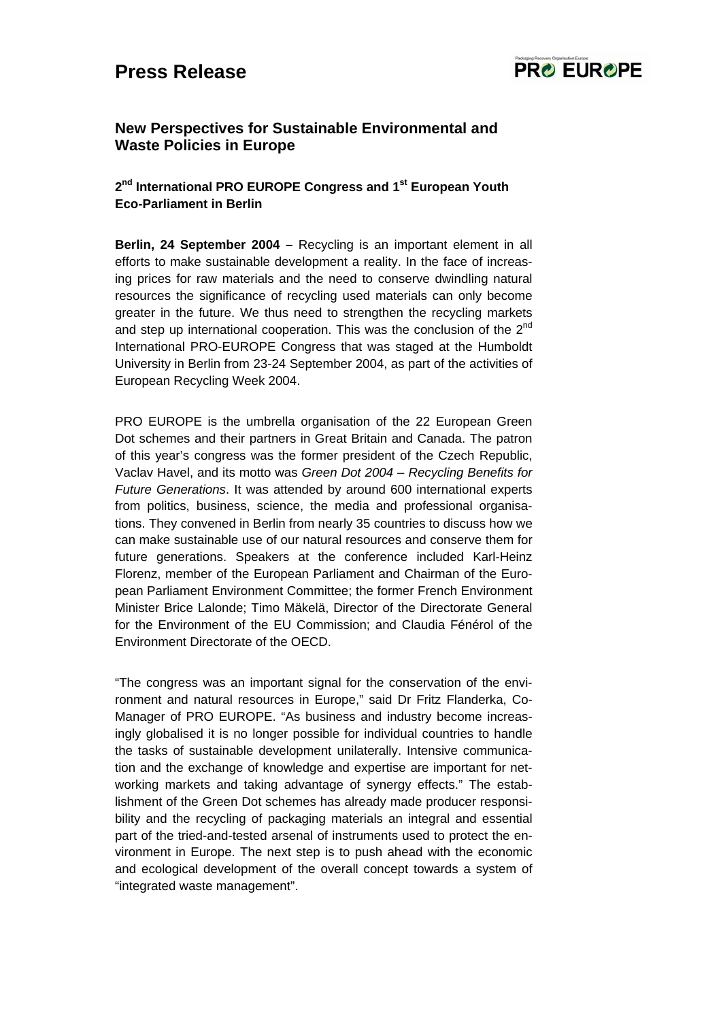# **Press Release**



## **New Perspectives for Sustainable Environmental and Waste Policies in Europe**

## 2<sup>nd</sup> International PRO EUROPE Congress and 1<sup>st</sup> European Youth **Eco-Parliament in Berlin**

**Berlin, 24 September 2004 –** Recycling is an important element in all efforts to make sustainable development a reality. In the face of increasing prices for raw materials and the need to conserve dwindling natural resources the significance of recycling used materials can only become greater in the future. We thus need to strengthen the recycling markets and step up international cooperation. This was the conclusion of the 2<sup>nd</sup> International PRO-EUROPE Congress that was staged at the Humboldt University in Berlin from 23-24 September 2004, as part of the activities of European Recycling Week 2004.

PRO EUROPE is the umbrella organisation of the 22 European Green Dot schemes and their partners in Great Britain and Canada. The patron of this year's congress was the former president of the Czech Republic, Vaclav Havel, and its motto was *Green Dot 2004 – Recycling Benefits for Future Generations*. It was attended by around 600 international experts from politics, business, science, the media and professional organisations. They convened in Berlin from nearly 35 countries to discuss how we can make sustainable use of our natural resources and conserve them for future generations. Speakers at the conference included Karl-Heinz Florenz, member of the European Parliament and Chairman of the European Parliament Environment Committee; the former French Environment Minister Brice Lalonde; Timo Mäkelä, Director of the Directorate General for the Environment of the EU Commission; and Claudia Fénérol of the Environment Directorate of the OECD.

"The congress was an important signal for the conservation of the environment and natural resources in Europe," said Dr Fritz Flanderka, Co-Manager of PRO EUROPE. "As business and industry become increasingly globalised it is no longer possible for individual countries to handle the tasks of sustainable development unilaterally. Intensive communication and the exchange of knowledge and expertise are important for networking markets and taking advantage of synergy effects." The establishment of the Green Dot schemes has already made producer responsibility and the recycling of packaging materials an integral and essential part of the tried-and-tested arsenal of instruments used to protect the environment in Europe. The next step is to push ahead with the economic and ecological development of the overall concept towards a system of "integrated waste management".